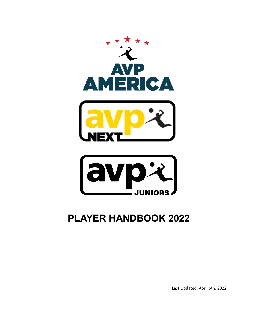



# **PLAYER HANDBOOK 2022**

Last Updated: April 6th, 2022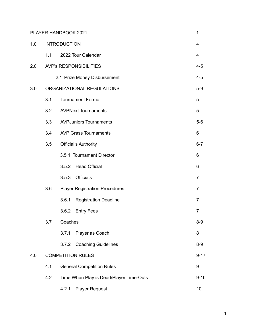|     |                               | PLAYER HANDBOOK 2021                    | 1        |  |  |
|-----|-------------------------------|-----------------------------------------|----------|--|--|
| 1.0 | <b>INTRODUCTION</b>           |                                         |          |  |  |
|     | 1.1                           | 2022 Tour Calendar                      | 4        |  |  |
| 2.0 | <b>AVP's RESPONSIBILITIES</b> |                                         |          |  |  |
|     |                               | 2.1 Prize Money Disbursement            | $4 - 5$  |  |  |
| 3.0 | ORGANIZATIONAL REGULATIONS    |                                         |          |  |  |
|     | 3.1                           | <b>Tournament Format</b>                |          |  |  |
|     | 3.2                           | <b>AVPNext Tournaments</b>              |          |  |  |
|     | 3.3                           | <b>AVPJuniors Tournaments</b>           |          |  |  |
|     | 3.4                           | <b>AVP Grass Tournaments</b><br>6       |          |  |  |
|     | 3.5                           | <b>Official's Authority</b>             |          |  |  |
|     |                               | 3.5.1 Tournament Director               | 6        |  |  |
|     |                               | <b>Head Official</b><br>3.5.2           | 6        |  |  |
|     |                               | Officials<br>3.5.3                      | 7        |  |  |
|     | 3.6                           | <b>Player Registration Procedures</b>   |          |  |  |
|     |                               | <b>Registration Deadline</b><br>3.6.1   | 7        |  |  |
|     |                               | 3.6.2<br><b>Entry Fees</b>              | 7        |  |  |
|     | 3.7                           | Coaches                                 |          |  |  |
|     |                               | Player as Coach<br>3.7.1                | 8        |  |  |
|     |                               | 3.7.2 Coaching Guidelines               | $8-9$    |  |  |
| 4.0 | <b>COMPETITION RULES</b>      |                                         |          |  |  |
|     | 4.1                           | <b>General Competition Rules</b>        |          |  |  |
|     | 4.2                           | Time When Play is Dead/Player Time-Outs | $9 - 10$ |  |  |
|     |                               | 4.2.1 Player Request                    | 10       |  |  |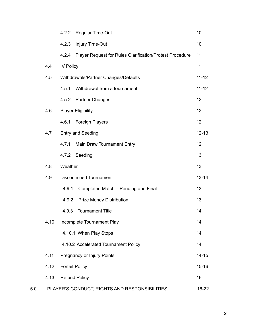|     |      | 4.2.2                          | Regular Time-Out                                         | 10        |
|-----|------|--------------------------------|----------------------------------------------------------|-----------|
|     |      | 4.2.3                          | Injury Time-Out                                          | 10        |
|     |      | 4.2.4                          | Player Request for Rules Clarification/Protest Procedure | 11        |
|     | 4.4  | <b>IV Policy</b>               |                                                          | 11        |
|     | 4.5  |                                | Withdrawals/Partner Changes/Defaults                     | $11 - 12$ |
|     |      | 4.5.1                          | Withdrawal from a tournament                             | $11 - 12$ |
|     |      | 4.5.2                          | <b>Partner Changes</b>                                   | 12        |
|     | 4.6  | <b>Player Eligibility</b>      |                                                          | 12        |
|     |      | 4.6.1                          | <b>Foreign Players</b>                                   | 12        |
|     | 4.7  | <b>Entry and Seeding</b>       |                                                          | $12 - 13$ |
|     |      | 4.7.1                          | Main Draw Tournament Entry                               | 12        |
|     |      | 4.7.2                          | Seeding                                                  | 13        |
|     | 4.8  | Weather                        |                                                          | 13        |
|     | 4.9  | <b>Discontinued Tournament</b> |                                                          | $13 - 14$ |
|     |      | 4.9.1                          | Completed Match - Pending and Final                      | 13        |
|     |      | 4.9.2                          | <b>Prize Money Distribution</b>                          | 13        |
|     |      | 4.9.3                          | <b>Tournament Title</b>                                  | 14        |
|     | 4.10 |                                | Incomplete Tournament Play                               | 14        |
|     |      |                                | 4.10.1 When Play Stops                                   | 14        |
|     |      |                                | 4.10.2 Accelerated Tournament Policy                     | 14        |
|     | 4.11 |                                | Pregnancy or Injury Points                               | $14 - 15$ |
|     | 4.12 | <b>Forfeit Policy</b>          |                                                          | $15 - 16$ |
|     | 4.13 | <b>Refund Policy</b>           |                                                          | 16        |
| 5.0 |      |                                | PLAYER'S CONDUCT, RIGHTS AND RESPONSIBILITIES            | 16-22     |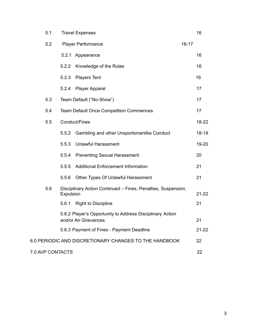|                                                              | 5.1 | <b>Travel Expenses</b>                                                     |                                                                                    |  | 16        |
|--------------------------------------------------------------|-----|----------------------------------------------------------------------------|------------------------------------------------------------------------------------|--|-----------|
|                                                              | 5.2 | <b>Player Performance</b><br>$16 - 17$                                     |                                                                                    |  |           |
|                                                              |     | 5.2.1                                                                      | Appearance                                                                         |  | 16        |
|                                                              |     | 5.2.2                                                                      | Knowledge of the Rules                                                             |  | 16        |
|                                                              |     | 5.2.3                                                                      | <b>Players Tent</b>                                                                |  | 16        |
|                                                              |     | 5.2.4                                                                      | <b>Player Apparel</b>                                                              |  | 17        |
|                                                              | 5.3 |                                                                            | Team Default ("No-Show")                                                           |  | 17        |
|                                                              | 5.4 |                                                                            | <b>Team Default Once Competition Commences</b>                                     |  | 17        |
|                                                              | 5.5 |                                                                            | Conduct/Fines                                                                      |  | 18-22     |
|                                                              |     | 5.5.2                                                                      | Gambling and other Unsportsmanlike Conduct                                         |  | $18 - 19$ |
|                                                              |     | 5.5.3                                                                      | <b>Unlawful Harassment</b>                                                         |  | 19-20     |
|                                                              |     | 5.5.4                                                                      | <b>Preventing Sexual Harassment</b>                                                |  | 20        |
|                                                              |     | 5.5.5                                                                      | <b>Additional Enforcement Information</b>                                          |  | 21        |
|                                                              |     | 5.5.6                                                                      | Other Types Of Unlawful Harassment                                                 |  | 21        |
|                                                              | 5.6 | Disciplinary Action Continued - Fines, Penalties, Suspension,<br>Expulsion |                                                                                    |  | $21 - 22$ |
|                                                              |     | 5.6.1                                                                      | <b>Right to Discipline</b>                                                         |  | 21        |
|                                                              |     |                                                                            | 5.6.2 Player's Opportunity to Address Disciplinary Action<br>and/or Air Grievances |  | 21        |
|                                                              |     |                                                                            | 5.6.3 Payment of Fines - Payment Deadline                                          |  | $21 - 22$ |
| 6.0 PERIODIC AND DISCRETIONARY CHANGES TO THE HANDBOOK<br>22 |     |                                                                            |                                                                                    |  |           |
| 7.0 AVP CONTACTS<br>22                                       |     |                                                                            |                                                                                    |  |           |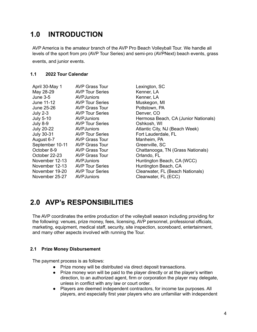## **1.0 INTRODUCTION**

AVP America is the amateur branch of the AVP Pro Beach Volleyball Tour. We handle all levels of the sport from pro (AVP Tour Series) and semi-pro (AVPNext) beach events, grass events, and junior events.

## **1.1 2022 Tour Calendar**

| April 30-May 1    | <b>AVP Grass Tour</b>  |
|-------------------|------------------------|
| May 28-29         | <b>AVP Tour Series</b> |
| <b>June 3-5</b>   | <b>AVPJuniors</b>      |
| June 11-12        | <b>AVP Tour Series</b> |
| June 25-26        | <b>AVP Grass Tour</b>  |
| July $2-3$        | <b>AVP Tour Series</b> |
| <b>July 5-10</b>  | AVPJuniors             |
| July 8-9          | <b>AVP Tour Series</b> |
| <b>July 20-22</b> | <b>AVPJuniors</b>      |
| <b>July 30-31</b> | <b>AVP Tour Series</b> |
| August 6-7        | <b>AVP Grass Tour</b>  |
| September 10-11   | <b>AVP Grass Tour</b>  |
| October 8-9       | <b>AVP Grass Tour</b>  |
| October 22-23     | <b>AVP Grass Tour</b>  |
| November 12-13    | AVPJuniors             |
| November 12-13    | <b>AVP Tour Series</b> |
| November 19-20    | <b>AVP Tour Series</b> |
| November 25-27    | AVPJuniors             |

Lexinaton, SC Kenner, LA Kenner, LA Muskegon, MI Pottstown, PA Denver, CO Hermosa Beach, CA (Junior Nationals) Oshkosh, WI Atlantic City, NJ (Beach Week) Fort Lauderdale, FL Manheim, PA Greenville, SC Chattanooga, TN (Grass Nationals) Orlando, FL Huntington Beach, CA (WCC) Huntington Beach, CA Clearwater, FL (Beach Nationals) Clearwater, FL (ECC)

## **2.0 AVP's RESPONSIBILITIES**

The AVP coordinates the entire production of the volleyball season including providing for the following: venues, prize money, fees, licensing, AVP personnel, professional officials, marketing, equipment, medical staff, security, site inspection, scoreboard, entertainment, and many other aspects involved with running the Tour.

## **2.1 Prize Money Disbursement**

The payment process is as follows:

- Prize money will be distributed via direct deposit transactions.
- Prize money won will be paid to the player directly or at the player's written direction, to an authorized agent, firm or corporation the player may delegate, unless in conflict with any law or court order.
- Players are deemed independent contractors, for income tax purposes. All players, and especially first year players who are unfamiliar with independent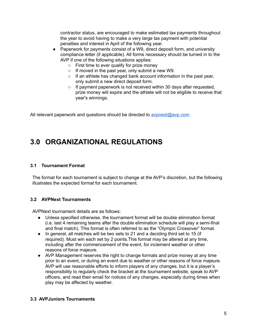contractor status, are encouraged to make estimated tax payments throughout the year to avoid having to make a very large tax payment with potential penalties and interest in April of the following year.

- Paperwork for payments consist of a W9, direct deposit form, and university compliance letter (if applicable). All forms necessary should be turned in to the AVP if one of the following situations applies:
	- First time to ever qualify for prize money
	- If moved in the past year, only submit a new W9.
	- If an athlete has changed bank account information in the past year, only submit a new direct deposit form.
	- If payment paperwork is not received within 30 days after requested, prize money will expire and the athlete will not be eligible to receive that year's winnings.

All relevant paperwork and questions should be directed to [avpnext@avp.com](mailto:avpnext@avp.com)

## **3.0 ORGANIZATIONAL REGULATIONS**

### **3.1 Tournament Format**

The format for each tournament is subject to change at the AVP's discretion, but the following illustrates the expected format for each tournament.

## **3.2 AVPNext Tournaments**

AVPNext tournament details are as follows:

- Unless specified otherwise, the tournament format will be double elimination format (i.e. last 4 remaining teams after the double elimination schedule will play a semi-final and final match). This format is often referred to as the "Olympic Crossover" format.
- In general, all matches will be two sets to 21 and a deciding third set to 15 (if required). Must win each set by 2 points.This format may be altered at any time, including after the commencement of the event, for inclement weather or other reasons of force majeure.
- AVP Management reserves the right to change formats and prize money at any time prior to an event, or during an event due to weather or other reasons of force majeure. AVP will use reasonable efforts to inform players of any changes, but it is a player's responsibility to regularly check the bracket at the tournament website, speak to AVP officers, and read their email for notices of any changes, especially during times when play may be affected by weather.

#### **3.3 AVPJuniors Tournaments**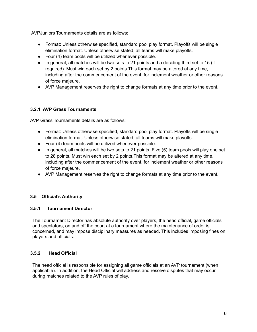AVPJuniors Tournaments details are as follows:

- Format: Unless otherwise specified, standard pool play format. Playoffs will be single elimination format. Unless otherwise stated, all teams will make playoffs.
- Four (4) team pools will be utilized whenever possible.
- In general, all matches will be two sets to 21 points and a deciding third set to 15 (if required). Must win each set by 2 points.This format may be altered at any time, including after the commencement of the event, for inclement weather or other reasons of force majeure.
- AVP Management reserves the right to change formats at any time prior to the event.

## **3.2.1 AVP Grass Tournaments**

AVP Grass Tournaments details are as follows:

- Format: Unless otherwise specified, standard pool play format. Playoffs will be single elimination format. Unless otherwise stated, all teams will make playoffs.
- Four (4) team pools will be utilized whenever possible.
- In general, all matches will be two sets to 21 points. Five (5) team pools will play one set to 28 points. Must win each set by 2 points.This format may be altered at any time, including after the commencement of the event, for inclement weather or other reasons of force majeure.
- AVP Management reserves the right to change formats at any time prior to the event.

## **3.5 Official's Authority**

#### **3.5.1 Tournament Director**

The Tournament Director has absolute authority over players, the head official, game officials and spectators, on and off the court at a tournament where the maintenance of order is concerned, and may impose disciplinary measures as needed. This includes imposing fines on players and officials.

## **3.5.2 Head Official**

The head official is responsible for assigning all game officials at an AVP tournament (when applicable). In addition, the Head Official will address and resolve disputes that may occur during matches related to the AVP rules of play.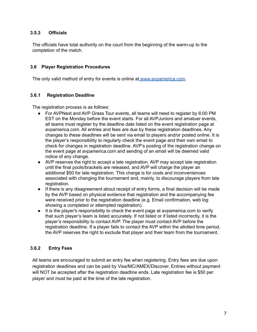### **3.5.3 Officials**

The officials have total authority on the court from the beginning of the warm-up to the completion of the match.

#### **3.6 Player Registration Procedures**

The only valid method of entry for events is online at [www.avpamerica.com](https://avpamerica.com/).

#### **3.6.1 Registration Deadline**

The registration process is as follows:

- For AVPNext and AVP Grass Tour events, all teams will need to register by 6:00 PM EST on the Monday before the event starts. For all AVPJuniors and amatuer events, all teams must register by the deadline date listed on the event registration page at avpamerica.com. All entries and fees are due by these registration deadlines. Any changes to these deadlines will be sent via email to players and/or posted online. It is the player's responsibility to regularly check the event page and their own email to check for changes in registration deadline. AVP's posting of the registration change on the event page at avpamerica.com and sending of an email will be deemed valid notice of any change.
- AVP reserves the right to accept a late registration. AVP may accept late registration until the final pools/brackets are released, and AVP will charge the player an additional \$50 for late registration. This charge is for costs and inconveniences associated with changing the tournament and, mainly, to discourage players from late registration.
- If there is any disagreement about receipt of entry forms, a final decision will be made by the AVP based on physical evidence that registration and the accompanying fee were received prior to the registration deadline (e.g. Email confirmation, web log showing a completed or attempted registration).
- It is the player's responsibility to check the event page at avpamerica.com to verify that such player's team is listed accurately. If not listed or if listed incorrectly, it is the player's responsibility to contact AVP. The player must contact AVP before the registration deadline. If a player fails to contact the AVP within the allotted time period, the AVP reserves the right to exclude that player and their team from the tournament.

## **3.6.2 Entry Fees**

All teams are encouraged to submit an entry fee when registering. Entry fees are due upon registration deadlines and can be paid by Visa/MC/AMEX/Discover. Entries without payment will NOT be accepted after the registration deadline ends. Late registration fee is \$50 per player and must be paid at the time of the late registration.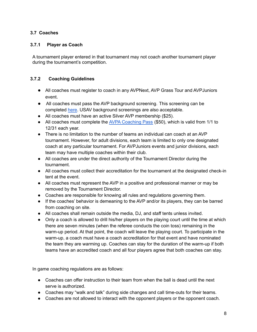## **3.7 Coaches**

## **3.7.1 Player as Coach**

A tournament player entered in that tournament may not coach another tournament player during the tournament's competition.

## **3.7.2 Coaching Guidelines**

- All coaches must register to coach in any AVPNext, AVP Grass Tour and AVPJuniors event.
- All coaches must pass the AVP background screening. This screening can be completed [here.](https://avp-america.sportngin.com/register/form/346665194) USAV background screenings are also acceptable.
- All coaches must have an active Silver AVP membership (\$25).
- All coaches must complete the AVPA [Coaching](https://avp.regfox.com/avp-america-coaching-pass) Pass (\$50), which is valid from 1/1 to 12/31 each year.
- There is no limitation to the number of teams an individual can coach at an AVP tournament. However, for adult divisions, each team is limited to only one designated coach at any particular tournament. For AVPJuniors events and junior divisions, each team may have multiple coaches within their club.
- All coaches are under the direct authority of the Tournament Director during the tournament.
- All coaches must collect their accreditation for the tournament at the designated check-in tent at the event.
- All coaches must represent the AVP in a positive and professional manner or may be removed by the Tournament Director.
- Coaches are responsible for knowing all rules and regulations governing them.
- If the coaches' behavior is demeaning to the AVP and/or its players, they can be barred from coaching on site.
- All coaches shall remain outside the media, DJ, and staff tents unless invited.
- Only a coach is allowed to drill his/her players on the playing court until the time at which there are seven minutes (when the referee conducts the coin toss) remaining in the warm-up period. At that point, the coach will leave the playing court. To participate in the warm-up, a coach must have a coach accreditation for that event and have nominated the team they are warming up. Coaches can stay for the duration of the warm-up if both teams have an accredited coach and all four players agree that both coaches can stay.

In game coaching regulations are as follows:

- Coaches can offer instruction to their team from when the ball is dead until the next serve is authorized.
- Coaches may "walk and talk" during side changes and call time-outs for their teams.
- Coaches are not allowed to interact with the opponent players or the opponent coach.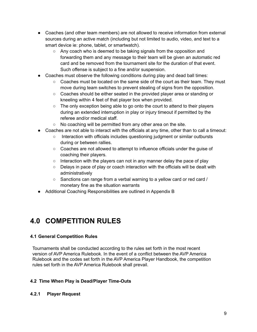- Coaches (and other team members) are not allowed to receive information from external sources during an active match (including but not limited to audio, video, and text to a smart device ie: phone, tablet, or smartwatch).
	- Any coach who is deemed to be taking signals from the opposition and forwarding them and any message to their team will be given an automatic red card and be removed from the tournament site for the duration of that event. Such offense is subject to a fine and/or suspension.
- Coaches must observe the following conditions during play and dead ball times:
	- Coaches must be located on the same side of the court as their team. They must move during team switches to prevent stealing of signs from the opposition.
	- Coaches should be either seated in the provided player area or standing or kneeling within 4 feet of that player box when provided.
	- The only exception being able to go onto the court to attend to their players during an extended interruption in play or injury timeout if permitted by the referee and/or medical staff.
	- No coaching will be permitted from any other area on the site.
- Coaches are not able to interact with the officials at any time, other than to call a timeout:
	- Interaction with officials includes questioning judgment or similar outbursts during or between rallies.
	- Coaches are not allowed to attempt to influence officials under the guise of coaching their players.
	- Interaction with the players can not in any manner delay the pace of play
	- $\circ$  Delays in pace of play or coach interaction with the officials will be dealt with administratively
	- Sanctions can range from a verbal warning to a yellow card or red card / monetary fine as the situation warrants
- Additional Coaching Responsibilities are outlined in Appendix B

## **4.0 COMPETITION RULES**

## **4.1 General Competition Rules**

Tournaments shall be conducted according to the rules set forth in the most recent version of AVP America Rulebook. In the event of a conflict between the AVP America Rulebook and the codes set forth in the AVP America Player Handbook, the competition rules set forth in the AVP America Rulebook shall prevail.

## **4.2 Time When Play is Dead/Player Time-Outs**

## **4.2.1 Player Request**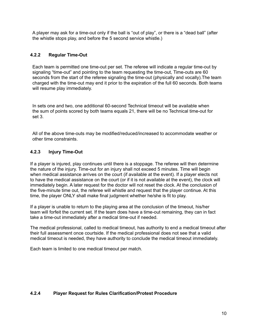A player may ask for a time-out only if the ball is "out of play", or there is a "dead ball" (after the whistle stops play, and before the 5 second service whistle.)

## **4.2.2 Regular Time-Out**

Each team is permitted one time-out per set. The referee will indicate a regular time-out by signaling "time-out" and pointing to the team requesting the time-out, Time-outs are 60 seconds from the start of the referee signaling the time-out (physically and vocally).The team charged with the time-out may end it prior to the expiration of the full 60 seconds. Both teams will resume play immediately.

In sets one and two, one additional 60-second Technical timeout will be available when the sum of points scored by both teams equals 21, there will be no Technical time-out for set 3.

All of the above time-outs may be modified/reduced/increased to accommodate weather or other time constraints.

## **4.2.3 Injury Time-Out**

If a player is injured, play continues until there is a stoppage. The referee will then determine the nature of the injury. Time-out for an injury shall not exceed 5 minutes. Time will begin when medical assistance arrives on the court (if available at the event). If a player elects not to have the medical assistance on the court (or if it is not available at the event), the clock will immediately begin. A later request for the doctor will not reset the clock. At the conclusion of the five-minute time out, the referee will whistle and request that the player continue. At this time, the player ONLY shall make final judgment whether he/she is fit to play.

If a player is unable to return to the playing area at the conclusion of the timeout, his/her team will forfeit the current set. If the team does have a time-out remaining, they can in fact take a time-out immediately after a medical time-out if needed.

The medical professional, called to medical timeout, has authority to end a medical timeout after their full assessment once courtside. If the medical professional does not see that a valid medical timeout is needed, they have authority to conclude the medical timeout immediately.

Each team is limited to one medical timeout per match.

## **4.2.4 Player Request for Rules Clarification/Protest Procedure**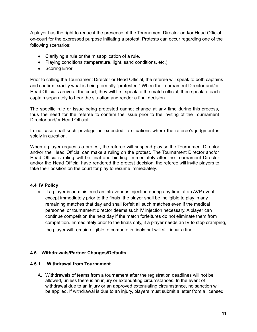A player has the right to request the presence of the Tournament Director and/or Head Official on-court for the expressed purpose initiating a protest. Protests can occur regarding one of the following scenarios:

- Clarifying a rule or the misapplication of a rule.
- Playing conditions (temperature, light, sand conditions, etc.)
- Scoring Error

Prior to calling the Tournament Director or Head Official, the referee will speak to both captains and confirm exactly what is being formally "protested." When the Tournament Director and/or Head Officials arrive at the court, they will first speak to the match official, then speak to each captain separately to hear the situation and render a final decision.

The specific rule or issue being protested cannot change at any time during this process, thus the need for the referee to confirm the issue prior to the inviting of the Tournament Director and/or Head Official.

In no case shall such privilege be extended to situations where the referee's judgment is solely in question.

When a player requests a protest, the referee will suspend play so the Tournament Director and/or the Head Official can make a ruling on the protest. The Tournament Director and/or Head Official's ruling will be final and binding. Immediately after the Tournament Director and/or the Head Official have rendered the protest decision, the referee will invite players to take their position on the court for play to resume immediately.

## **4.4 IV Policy**

● If a player is administered an intravenous injection during any time at an AVP event except immediately prior to the finals, the player shall be ineligible to play in any remaining matches that day and shall forfeit all such matches even if the medical personnel or tournament director deems such IV injection necessary. A player can continue competition the next day if the match forfeitures do not eliminate them from competition. Immediately prior to the finals only, if a player needs an IV to stop cramping, the player will remain eligible to compete in finals but will still incur a fine.

## **4.5 Withdrawals/Partner Changes/Defaults**

## **4.5.1 Withdrawal from Tournament**

A. Withdrawals of teams from a tournament after the registration deadlines will not be allowed, unless there is an injury or extenuating circumstances. In the event of withdrawal due to an injury or an approved extenuating circumstance, no sanction will be applied. If withdrawal is due to an injury, players must submit a letter from a licensed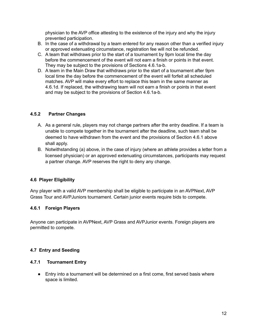physician to the AVP office attesting to the existence of the injury and why the injury prevented participation.

- B. In the case of a withdrawal by a team entered for any reason other than a verified injury or approved extenuating circumstance, registration fee will not be refunded.
- C. A team that withdraws prior to the start of a tournament by 9pm local time the day before the commencement of the event will not earn a finish or points in that event. They may be subject to the provisions of Sections 4.6.1a-b.
- D. A team in the Main Draw that withdraws prior to the start of a tournament after 9pm local time the day before the commencement of the event will forfeit all scheduled matches. AVP will make every effort to replace this team in the same manner as 4.6.1d. If replaced, the withdrawing team will not earn a finish or points in that event and may be subject to the provisions of Section 4.6.1a-b.

## **4.5.2 Partner Changes**

- A. As a general rule, players may not change partners after the entry deadline. If a team is unable to compete together in the tournament after the deadline, such team shall be deemed to have withdrawn from the event and the provisions of Section 4.6.1 above shall apply.
- B. Notwithstanding (a) above, in the case of injury (where an athlete provides a letter from a licensed physician) or an approved extenuating circumstances, participants may request a partner change. AVP reserves the right to deny any change.

## **4.6 Player Eligibility**

Any player with a valid AVP membership shall be eligible to participate in an AVPNext, AVP Grass Tour and AVPJuniors tournament. Certain junior events require bids to compete.

#### **4.6.1 Foreign Players**

Anyone can participate in AVPNext, AVP Grass and AVPJunior events. Foreign players are permitted to compete.

## **4.7 Entry and Seeding**

#### **4.7.1 Tournament Entry**

● Entry into a tournament will be determined on a first come, first served basis where space is limited.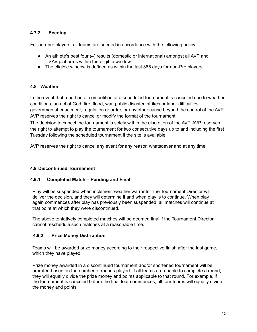## **4.7.2 Seeding**

For non-pro players, all teams are seeded in accordance with the following policy:

- An athlete's best four (4) results (domestic or international) amongst all AVP and USAV platforms within the eligible window.
- The eligible window is defined as within the last 365 days for non-Pro players.

## **4.8 Weather**

In the event that a portion of competition at a scheduled tournament is canceled due to weather conditions, an act of God, fire, flood, war, public disaster, strikes or labor difficulties, governmental enactment, regulation or order, or any other cause beyond the control of the AVP, AVP reserves the right to cancel or modify the format of the tournament.

The decision to cancel the tournament is solely within the discretion of the AVP. AVP reserves the right to attempt to play the tournament for two consecutive days up to and including the first Tuesday following the scheduled tournament if the site is available.

AVP reserves the right to cancel any event for any reason whatsoever and at any time.

## **4.9 Discontinued Tournament**

#### **4.9.1 Completed Match – Pending and Final**

Play will be suspended when inclement weather warrants. The Tournament Director will deliver the decision, and they will determine if and when play is to continue. When play again commences after play has previously been suspended, all matches will continue at that point at which they were discontinued.

The above tentatively completed matches will be deemed final if the Tournament Director cannot reschedule such matches at a reasonable time.

#### **4.9.2 Prize Money Distribution**

Teams will be awarded prize money according to their respective finish after the last game, which they have played.

Prize money awarded in a discontinued tournament and/or shortened tournament will be prorated based on the number of rounds played. If all teams are unable to complete a round, they will equally divide the prize money and points applicable to that round. For example, if the tournament is canceled before the final four commences, all four teams will equally divide the money and points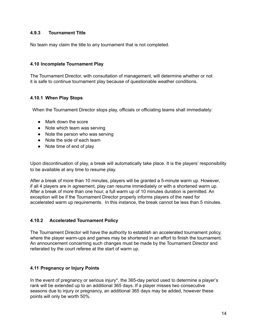### **4.9.3 Tournament Title**

No team may claim the title to any tournament that is not completed.

### **4.10 Incomplete Tournament Play**

The Tournament Director, with consultation of management, will determine whether or not it is safe to continue tournament play because of questionable weather conditions.

#### **4.10.1 When Play Stops**

When the Tournament Director stops play, officials or officiating teams shall immediately:

- Mark down the score
- Note which team was serving
- Note the person who was serving
- Note the side of each team
- Note time of end of play

Upon discontinuation of play, a break will automatically take place. It is the players' responsibility to be available at any time to resume play.

After a break of more than 10 minutes, players will be granted a 5-minute warm up. However, if all 4 players are in agreement, play can resume immediately or with a shortened warm up. After a break of more than one hour, a full warm up of 10 minutes duration is permitted. An exception will be if the Tournament Director properly informs players of the need for accelerated warm up requirements. In this instance, the break cannot be less than 5 minutes.

#### **4.10.2 Accelerated Tournament Policy**

The Tournament Director will have the authority to establish an accelerated tournament policy, where the player warm-ups and games may be shortened in an effort to finish the tournament. An announcement concerning such changes must be made by the Tournament Director and reiterated by the court referee at the start of warm up.

## **4.11 Pregnancy or Injury Points**

In the event of pregnancy or serious injury\*, the 365-day period used to determine a player's rank will be extended up to an additional 365 days. If a player misses two consecutive seasons due to injury or pregnancy, an additional 365 days may be added, however these points will only be worth 50%.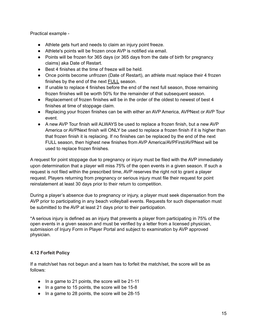Practical example -

- Athlete gets hurt and needs to claim an injury point freeze.
- Athlete's points will be frozen once AVP is notified via email.
- Points will be frozen for 365 days (or 365 days from the date of birth for pregnancy claims) aka Date of Restart.
- Best 4 finishes at the time of freeze will be held.
- Once points become unfrozen (Date of Restart), an athlete must replace their 4 frozen finishes by the end of the next FULL season.
- If unable to replace 4 finishes before the end of the next full season, those remaining frozen finishes will be worth 50% for the remainder of that subsequent season.
- Replacement of frozen finishes will be in the order of the oldest to newest of best 4 finishes at time of stoppage claim.
- Replacing your frozen finishes can be with either an AVP America, AVPNext or AVP Tour event.
- A new AVP Tour finish will ALWAYS be used to replace a frozen finish, but a new AVP America or AVPNext finish will ONLY be used to replace a frozen finish if it is higher than that frozen finish it is replacing. If no finishes can be replaced by the end of the next FULL season, then highest new finishes from AVP America/AVPFirst/AVPNext will be used to replace frozen finishes.

A request for point stoppage due to pregnancy or injury must be filed with the AVP immediately upon determination that a player will miss 75% of the open events in a given season. If such a request is not filed within the prescribed time, AVP reserves the right not to grant a player request. Players returning from pregnancy or serious injury must file their request for point reinstatement at least 30 days prior to their return to competition.

During a player's absence due to pregnancy or injury, a player must seek dispensation from the AVP prior to participating in any beach volleyball events. Requests for such dispensation must be submitted to the AVP at least 21 days prior to their participation.

\*A serious injury is defined as an injury that prevents a player from participating in 75% of the open events in a given season and must be verified by a letter from a licensed physician, submission of Injury Form in Player Portal and subject to examination by AVP approved physician.

## **4.12 Forfeit Policy**

If a match/set has not begun and a team has to forfeit the match/set, the score will be as follows:

- In a game to 21 points, the score will be 21-11
- In a game to 15 points, the score will be 15-8
- In a game to 28 points, the score will be 28-15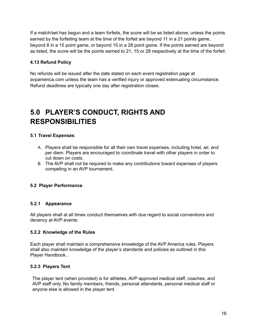If a match/set has begun and a team forfeits, the score will be as listed above, unless the points earned by the forfeiting team at the time of the forfeit are beyond 11 in a 21 points game, beyond 8 in a 15 point game, or beyond 15 in a 28 point game. If the points earned are beyond as listed, the score will be the points earned to 21, 15 or 28 respectively at the time of the forfeit.

## **4.13 Refund Policy**

No refunds will be issued after the date stated on each event registration page at avpamerica.com unless the team has a verified injury or approved extenuating circumstance. Refund deadlines are typically one day after registration closes.

## **5.0 PLAYER'S CONDUCT, RIGHTS AND RESPONSIBILITIES**

## **5.1 Travel Expenses**

- A. Players shall be responsible for all their own travel expenses, including hotel, air, and per diem. Players are encouraged to coordinate travel with other players in order to cut down on costs.
- B. The AVP shall not be required to make any contributions toward expenses of players competing in an AVP tournament.

## **5.2 Player Performance**

## **5.2.1 Appearance**

All players shall at all times conduct themselves with due regard to social conventions and decency at AVP events.

## **5.2.2 Knowledge of the Rules**

Each player shall maintain a comprehensive knowledge of the AVP America rules. Players shall also maintain knowledge of the player's standards and policies as outlined in this Player Handbook..

## **5.2.3 Players Tent**

The player tent (when provided) is for athletes, AVP approved medical staff, coaches, and AVP staff only. No family members, friends, personal attendants, personal medical staff or anyone else is allowed in the player tent.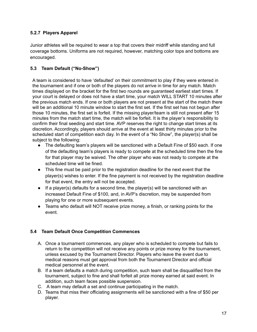## **5.2.7 Players Apparel**

Junior athletes will be required to wear a top that covers their midriff while standing and full coverage bottoms. Uniforms are not required, however, matching color tops and bottoms are encouraged.

## **5.3 Team Default ("No-Show")**

A team is considered to have 'defaulted' on their commitment to play if they were entered in the tournament and if one or both of the players do not arrive in time for any match. Match times displayed on the bracket for the first two rounds are guaranteed earliest start times. If your court is delayed or does not have a start time, your match WILL START 10 minutes after the previous match ends. If one or both players are not present at the start of the match there will be an additional 10 minute window to start the first set. If the first set has not begun after those 10 minutes, the first set is forfeit. If the missing player/team is still not present after 15 minutes from the match start time, the match will be forfeit. It is the player's responsibility to confirm their final seeding and start time. AVP reserves the right to change start times at its discretion. Accordingly, players should arrive at the event at least thirty minutes prior to the scheduled start of competition each day. In the event of a "No Show", the player(s) shall be subject to the following:

- The defaulting team's players will be sanctioned with a Default Fine of \$50 each. If one of the defaulting team's players is ready to compete at the scheduled time then the fine for that player may be waived. The other player who was not ready to compete at the scheduled time will be fined.
- This fine must be paid prior to the registration deadline for the next event that the player(s) wishes to enter. If the fine payment is not received by the registration deadline for that event, the entry will not be accepted.
- $\bullet$  If a player(s) defaults for a second time, the player(s) will be sanctioned with an increased Default Fine of \$100, and, in AVP's discretion, may be suspended from playing for one or more subsequent events.
- Teams who default will NOT receive prize money, a finish, or ranking points for the event.

## **5.4 Team Default Once Competition Commences**

- A. Once a tournament commences, any player who is scheduled to compete but fails to return to the competition will not receive any points or prize money for the tournament, unless excused by the Tournament Director. Players who leave the event due to medical reasons must get approval from both the Tournament Director and official medical personnel at the event.
- B. If a team defaults a match during competition, such team shall be disqualified from the tournament, subject to fine and shall forfeit all prize money earned at said event. In addition, such team faces possible suspension.
- C. A team may default a set and continue participating in the match.
- D. Teams that miss their officiating assignments will be sanctioned with a fine of \$50 per player.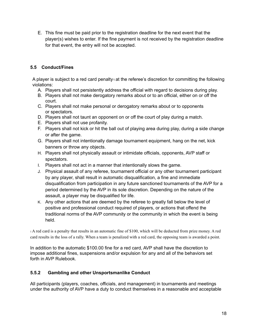E. This fine must be paid prior to the registration deadline for the next event that the player(s) wishes to enter. If the fine payment is not received by the registration deadline for that event, the entry will not be accepted.

## **5.5 Conduct/Fines**

A player is subject to a red card penalty<sub>1</sub> at the referee's discretion for committing the following violations:

- A. Players shall not persistently address the official with regard to decisions during play.
- B. Players shall not make derogatory remarks about or to an official, either on or off the court.
- C. Players shall not make personal or derogatory remarks about or to opponents or spectators.
- D. Players shall not taunt an opponent on or off the court of play during a match.
- E. Players shall not use profanity.
- F. Players shall not kick or hit the ball out of playing area during play, during a side change or after the game.
- G. Players shall not intentionally damage tournament equipment, hang on the net, kick banners or throw any objects.
- H. Players shall not physically assault or intimidate officials, opponents, AVP staff or spectators.
- I. Players shall not act in a manner that intentionally slows the game.
- J. Physical assault of any referee, tournament official or any other tournament participant by any player, shall result in automatic disqualification, a fine and immediate disqualification from participation in any future sanctioned tournaments of the AVP for a period determined by the AVP in its sole discretion. Depending on the nature of the assault, a player may be disqualified for life.
- K. Any other actions that are deemed by the referee to greatly fall below the level of positive and professional conduct required of players, or actions that offend the traditional norms of the AVP community or the community in which the event is being held.

<sup>1</sup> A red card is a penalty that results in an automatic fine of \$100, which will be deducted from prize money. A red card results in the loss of a rally. When a team is penalized with a red card, the opposing team is awarded a point.

In addition to the automatic \$100.00 fine for a red card, AVP shall have the discretion to impose additional fines, suspensions and/or expulsion for any and all of the behaviors set forth in AVP Rulebook.

## **5.5.2 Gambling and other Unsportsmanlike Conduct**

All participants (players, coaches, officials, and management) in tournaments and meetings under the authority of AVP have a duty to conduct themselves in a reasonable and acceptable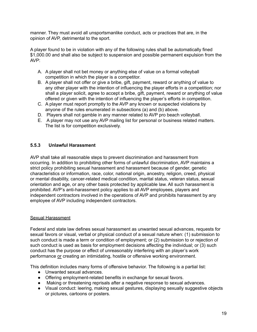manner. They must avoid all unsportsmanlike conduct, acts or practices that are, in the opinion of AVP, detrimental to the sport.

A player found to be in violation with any of the following rules shall be automatically fined \$1,000.00 and shall also be subject to suspension and possible permanent expulsion from the AVP:

- A. A player shall not bet money or anything else of value on a formal volleyball competition in which the player is a competitor.
- B. A player shall not offer or give a bribe, gift, payment, reward or anything of value to any other player with the intention of influencing the player efforts in a competition; nor shall a player solicit, agree to accept a bribe, gift, payment, reward or anything of value offered or given with the intention of influencing the player's efforts in competition.
- C. A player must report promptly to the AVP any known or suspected violations by anyone of the rules enumerated in subsections (a) and (b) above.
- D. Players shall not gamble in any manner related to AVP pro beach volleyball.
- E. A player may not use any AVP mailing list for personal or business related matters. The list is for competition exclusively.

### **5.5.3 Unlawful Harassment**

AVP shall take all reasonable steps to prevent discrimination and harassment from occurring. In addition to prohibiting other forms of unlawful discrimination, AVP maintains a strict policy prohibiting sexual harassment and harassment because of gender, genetic characteristics or information, race, color, national origin, ancestry, religion, creed, physical or mental disability, cancer-related medical condition, marital status, veteran status, sexual orientation and age, or any other basis protected by applicable law. All such harassment is prohibited. AVP's anti-harassment policy applies to all AVP employees, players and independent contractors involved in the operations of AVP and prohibits harassment by any employee of AVP including independent contractors.

#### Sexual Harassment

Federal and state law defines sexual harassment as unwanted sexual advances, requests for sexual favors or visual, verbal or physical conduct of a sexual nature when: (1) submission to such conduct is made a term or condition of employment; or (2) submission to or rejection of such conduct is used as basis for employment decisions affecting the individual; or (3) such conduct has the purpose or effect of unreasonably interfering with an player's work performance or creating an intimidating, hostile or offensive working environment.

This definition includes many forms of offensive behavior. The following is a partial list:

- Unwanted sexual advances.
- Offering employment-related benefits in exchange for sexual favors.
- Making or threatening reprisals after a negative response to sexual advances.
- Visual conduct: leering, making sexual gestures, displaying sexually suggestive objects or pictures, cartoons or posters.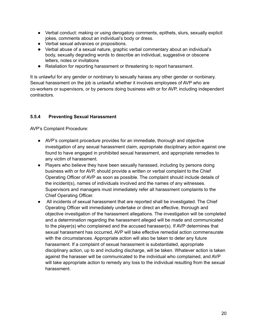- Verbal conduct: making or using derogatory comments, epithets, slurs, sexually explicit jokes, comments about an individual's body or dress.
- Verbal sexual advances or propositions.
- Verbal abuse of a sexual nature, graphic verbal commentary about an individual's body, sexually degrading words to describe an individual, suggestive or obscene letters, notes or invitations
- Retaliation for reporting harassment or threatening to report harassment.

It is unlawful for any gender or nonbinary to sexually harass any other gender or nonbinary. Sexual harassment on the job is unlawful whether it involves employees of AVP who are co-workers or supervisors, or by persons doing business with or for AVP, including independent contractors.

## **5.5.4 Preventing Sexual Harassment**

AVP's Complaint Procedure:

- AVP's complaint procedure provides for an immediate, thorough and objective investigation of any sexual harassment claim, appropriate disciplinary action against one found to have engaged in prohibited sexual harassment, and appropriate remedies to any victim of harassment.
- Players who believe they have been sexually harassed, including by persons doing business with or for AVP, should provide a written or verbal complaint to the Chief Operating Officer of AVP as soon as possible. The complaint should include details of the incident(s), names of individuals involved and the names of any witnesses. Supervisors and managers must immediately refer all harassment complaints to the Chief Operating Officer.
- All incidents of sexual harassment that are reported shall be investigated. The Chief Operating Officer will immediately undertake or direct an effective, thorough and objective investigation of the harassment allegations. The investigation will be completed and a determination regarding the harassment alleged will be made and communicated to the player(s) who complained and the accused harasser(s). If AVP determines that sexual harassment has occurred, AVP will take effective remedial action commensurate with the circumstances. Appropriate action will also be taken to deter any future harassment. If a complaint of sexual harassment is substantiated, appropriate disciplinary action, up to and including discharge, will be taken. Whatever action is taken against the harasser will be communicated to the individual who complained, and AVP will take appropriate action to remedy any loss to the individual resulting from the sexual harassment.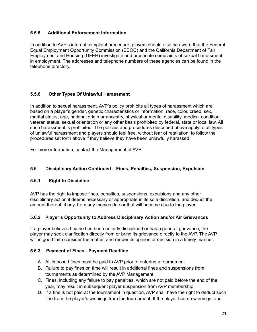## **5.5.5 Additional Enforcement Information**

In addition to AVP's internal complaint procedure, players should also be aware that the Federal Equal Employment Opportunity Commission (EEOC) and the California Department of Fair Employment and Housing (DFEH) investigate and prosecute complaints of sexual harassment in employment. The addresses and telephone numbers of these agencies can be found in the telephone directory.

## **5.5.6 Other Types Of Unlawful Harassment**

In addition to sexual harassment, AVP's policy prohibits all types of harassment which are based on a player's gender, genetic characteristics or information, race, color, creed, sex, marital status, age, national origin or ancestry, physical or mental disability, medical condition, veteran status, sexual orientation or any other basis prohibited by federal, state or local law. All such harassment is prohibited. The policies and procedures described above apply to all types of unlawful harassment and players should feel free, without fear of retaliation, to follow the procedures set forth above if they believe they have been unlawfully harassed.

For more information, contact the Management of AVP.

## **5.6 Disciplinary Action Continued – Fines, Penalties, Suspension, Expulsion**

## **5.6.1 Right to Discipline**

AVP has the right to impose fines, penalties, suspensions, expulsions and any other disciplinary action it deems necessary or appropriate in its sole discretion, and deduct the amount thereof, if any, from any monies due or that will become due to the player.

## **5.6.2 Player's Opportunity to Address Disciplinary Action and/or Air Grievances**

If a player believes he/she has been unfairly disciplined or has a general grievance, the player may seek clarification directly from or bring its grievance directly to the AVP. The AVP will in good faith consider the matter, and render its opinion or decision in a timely manner.

## **5.6.3 Payment of Fines - Payment Deadline**

- A. All imposed fines must be paid to AVP prior to entering a tournament.
- B. Failure to pay fines on time will result in additional fines and suspensions from tournaments as determined by the AVP Management.
- C. Fines, including any failure to pay penalties, which are not paid before the end of the year, may result in subsequent player suspension from AVP membership.
- D. If a fine is not paid at the tournament in question, AVP shall have the right to deduct such fine from the player's winnings from the tournament. If the player has no winnings, and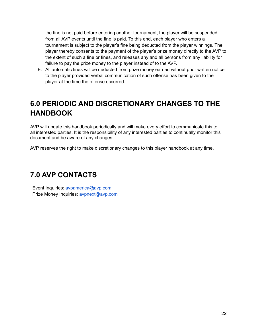the fine is not paid before entering another tournament, the player will be suspended from all AVP events until the fine is paid. To this end, each player who enters a tournament is subject to the player's fine being deducted from the player winnings. The player thereby consents to the payment of the player's prize money directly to the AVP to the extent of such a fine or fines, and releases any and all persons from any liability for failure to pay the prize money to the player instead of to the AVP.

E. All automatic fines will be deducted from prize money earned without prior written notice to the player provided verbal communication of such offense has been given to the player at the time the offense occurred.

## **6.0 PERIODIC AND DISCRETIONARY CHANGES TO THE HANDBOOK**

AVP will update this handbook periodically and will make every effort to communicate this to all interested parties. It is the responsibility of any interested parties to continually monitor this document and be aware of any changes.

AVP reserves the right to make discretionary changes to this player handbook at any time.

## **7.0 AVP CONTACTS**

Event Inquiries: avpamerica@avp.com Prize Money Inquiries: avpnext@avp.com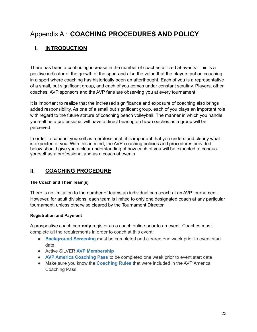## Appendix A : **COACHING PROCEDURES AND POLICY**

## **I. INTRODUCTION**

There has been a continuing increase in the number of coaches utilized at events. This is a positive indicator of the growth of the sport and also the value that the players put on coaching in a sport where coaching has historically been an afterthought. Each of you is a representative of a small, but significant group, and each of you comes under constant scrutiny. Players, other coaches, AVP sponsors and the AVP fans are observing you at every tournament.

It is important to realize that the increased significance and exposure of coaching also brings added responsibility. As one of a small but significant group, each of you plays an important role with regard to the future stature of coaching beach volleyball. The manner in which you handle yourself as a professional will have a direct bearing on how coaches as a group will be perceived.

In order to conduct yourself as a professional, it is important that you understand clearly what is expected of you. With this in mind, the AVP coaching policies and procedures provided below should give you a clear understanding of how each of you will be expected to conduct yourself as a professional and as a coach at events.

## **II. COACHING PROCEDURE**

## **The Coach and Their Team(s)**

There is no limitation to the number of teams an individual can coach at an AVP tournament. However, for adult divisions, each team is limited to only one designated coach at any particular tournament, unless otherwise cleared by the Tournament Director.

## **Registration and Payment**

A prospective coach can **only** register as a coach online prior to an event. Coaches must complete all the requirements in order to coach at this event:

- **[Background](https://avp-america.sportngin.com/register/form/346665194) Screening** must be completed and cleared one week prior to event start date.
- Active SILVER **AVP [Membership](https://avp.com/membership-sign-up/)**
- **AVP America [Coaching](https://avp.regfox.com/avp-america-coaching-pass) Pass** to be completed one week prior to event start date
- Make sure you know the **[Coaching](https://docs.google.com/document/d/1IyFZWtGWFsI2FYslhWbfnBmXLRnHb3iLJyB_-lnYu7U/edit) Rules** that were included in the AVP America Coaching Pass.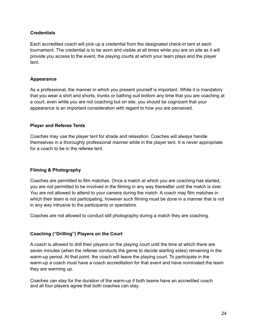## **Credentials**

Each accredited coach will pick up a credential from the designated check-in tent at each tournament. The credential is to be worn and visible at all times while you are on site as it will provide you access to the event, the playing courts at which your team plays and the player tent.

### **Appearance**

As a professional, the manner in which you present yourself is important. While it is mandatory that you wear a shirt and shorts, trunks or bathing suit bottom any time that you are coaching at a court, even while you are not coaching but on site, you should be cognizant that your appearance is an important consideration with regard to how you are perceived.

### **Player and Referee Tents**

Coaches may use the player tent for shade and relaxation. Coaches will always handle themselves in a thoroughly professional manner while in the player tent. It is never appropriate for a coach to be in the referee tent.

## **Filming & Photography**

Coaches are permitted to film matches. Once a match at which you are coaching has started, you are not permitted to be involved in the filming in any way thereafter until the match is over. You are not allowed to attend to your camera during the match. A coach may film matches in which their team is not participating, however such filming must be done in a manner that is not in any way intrusive to the participants or spectators.

Coaches are not allowed to conduct still photography during a match they are coaching.

## **Coaching ("Drilling") Players on the Court**

A coach is allowed to drill their players on the playing court until the time at which there are seven minutes (when the referee conducts the game to decide starting sides) remaining in the warm-up period. At that point, the coach will leave the playing court. To participate in the warm-up a coach must have a coach accreditation for that event and have nominated the team they are warming up.

Coaches can stay for the duration of the warm-up if both teams have an accredited coach and all four players agree that both coaches can stay.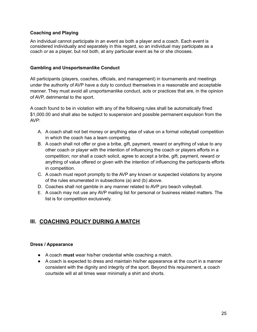### **Coaching and Playing**

An individual cannot participate in an event as both a player and a coach. Each event is considered individually and separately in this regard, so an individual may participate as a coach *or* as a player, but not both, at any particular event as he or she chooses.

#### **Gambling and Unsportsmanlike Conduct**

All participants (players, coaches, officials, and management) in tournaments and meetings under the authority of AVP have a duty to conduct themselves in a reasonable and acceptable manner. They must avoid all unsportsmanlike conduct, acts or practices that are, in the opinion of AVP, detrimental to the sport.

A coach found to be in violation with any of the following rules shall be automatically fined \$1,000.00 and shall also be subject to suspension and possible permanent expulsion from the AVP:

- A. A coach shall not bet money or anything else of value on a formal volleyball competition in which the coach has a team competing.
- B. A coach shall not offer or give a bribe, gift, payment, reward or anything of value to any other coach or player with the intention of influencing the coach or players efforts in a competition; nor shall a coach solicit, agree to accept a bribe, gift, payment, reward or anything of value offered or given with the intention of influencing the participants efforts in competition.
- C. A coach must report promptly to the AVP any known or suspected violations by anyone of the rules enumerated in subsections (a) and (b) above.
- D. Coaches shall not gamble in any manner related to AVP pro beach volleyball.
- E. A coach may not use any AVP mailing list for personal or business related matters. The list is for competition exclusively.

## **III. COACHING POLICY DURING A MATCH**

#### **Dress / Appearance**

- A coach **must** wear his/her credential while coaching a match.
- A coach is expected to dress and maintain his/her appearance at the court in a manner consistent with the dignity and integrity of the sport. Beyond this requirement, a coach courtside will at all times wear minimally a shirt and shorts.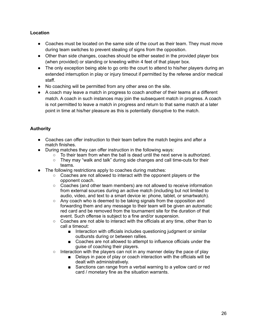## **Location**

- Coaches must be located on the same side of the court as their team. They must move during team switches to prevent stealing of signs from the opposition.
- Other than side changes, coaches should be either seated in the provided player box (when provided) or standing or kneeling within 4 feet of that player box.
- The only exception being able to go onto the court to attend to his/her players during an extended interruption in play or injury timeout if permitted by the referee and/or medical staff.
- No coaching will be permitted from any other area on the site.
- A coach may leave a match in progress to coach another of their teams at a different match. A coach in such instances may join the subsequent match in progress. A coach is not permitted to leave a match in progress and return to that same match at a later point in time at his/her pleasure as this is potentially disruptive to the match.

## **Authority**

- Coaches can offer instruction to their team before the match begins and after a match finishes.
- During matches they can offer instruction in the following ways:
	- $\circ$  To their team from when the ball is dead until the next serve is authorized.
	- They may "walk and talk" during side changes and call time-outs for their teams.
- The following restrictions apply to coaches during matches:
	- Coaches are not allowed to interact with the opponent players or the opponent coach.
	- Coaches (and other team members) are not allowed to receive information from external sources during an active match (including but not limited to audio, video, and text to a smart device ie: phone, tablet, or smartwatch).
	- Any coach who is deemed to be taking signals from the opposition and forwarding them and any message to their team will be given an automatic red card and be removed from the tournament site for the duration of that event. Such offense is subject to a fine and/or suspension.
	- Coaches are not able to interact with the officials at any time, other than to call a timeout:
		- Interaction with officials includes questioning judgment or similar outbursts during or between rallies.
		- Coaches are not allowed to attempt to influence officials under the guise of coaching their players.
	- $\circ$  Interaction with the players can not in any manner delay the pace of play
		- Delays in pace of play or coach interaction with the officials will be dealt with administratively.
		- Sanctions can range from a verbal warning to a yellow card or red card / monetary fine as the situation warrants.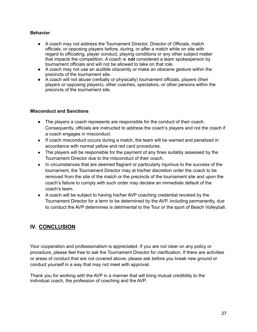### **Behavior**

- A coach may not address the Tournament Director, Director of Officials, match officials, or opposing players before, during, or after a match while on site with regard to officiating, player conduct, playing conditions or any other subject matter that impacts the competition. A coach is **not** considered a team spokesperson by tournament officials and will not be allowed to take on that role.
- A coach may not use an audible obscenity or make an obscene gesture within the precincts of the tournament site.
- A coach will not abuse (verbally or physically) tournament officials, players (their players or opposing players), other coaches, spectators, or other persons within the precincts of the tournament site.

#### **Misconduct and Sanctions**

- The players a coach represents are responsible for the conduct of their coach. Consequently, officials are instructed to address the coach's players and not the coach if a coach engages in misconduct.
- If coach misconduct occurs during a match, the team will be warned and penalized in accordance with normal yellow and red card procedures.
- The players will be responsible for the payment of any fines suitably assessed by the Tournament Director due to the misconduct of their coach.
- In circumstances that are deemed flagrant or particularly injurious to the success of the tournament, the Tournament Director may at his/her discretion order the coach to be removed from the site of the match or the precincts of the tournament site and upon the coach's failure to comply with such order may declare an immediate default of the coach's team.
- A coach will be subject to having his/her AVP coaching credential revoked by the Tournament Director for a term to be determined by the AVP, including permanently, due to conduct the AVP determines is detrimental to the Tour or the sport of Beach Volleyball.

## **IV. CONCLUSION**

Your cooperation and professionalism is appreciated. If you are not clear on any policy or procedure, please feel free to ask the Tournament Director for clarification. If there are activities or areas of conduct that are not covered above, please ask before you break new ground or conduct yourself in a way that may not meet with approval.

Thank you for working with the AVP in a manner that will bring mutual credibility to the individual coach, the profession of coaching and the AVP.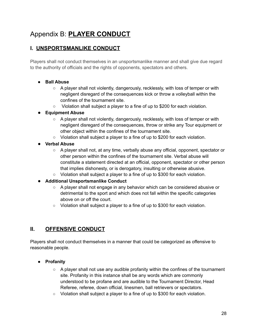## Appendix B: **PLAYER CONDUCT**

## **I. UNSPORTSMANLIKE CONDUCT**

Players shall not conduct themselves in an unsportsmanlike manner and shall give due regard to the authority of officials and the rights of opponents, spectators and others.

## **● Ball Abuse**

- **○** A player shall not violently, dangerously, recklessly, with loss of temper or with negligent disregard of the consequences kick or throw a volleyball within the confines of the tournament site.
- **○** Violation shall subject a player to a fine of up to \$200 for each violation.

## **● Equipment Abuse**

- **○** A player shall not violently, dangerously, recklessly, with loss of temper or with negligent disregard of the consequences, throw or strike any Tour equipment or other object within the confines of the tournament site.
- **○** Violation shall subject a player to a fine of up to \$200 for each violation.
- **● Verbal Abuse**
	- **○** A player shall not, at any time, verbally abuse any official, opponent, spectator or other person within the confines of the tournament site. Verbal abuse will constitute a statement directed at an official, opponent, spectator or other person that implies dishonesty, or is derogatory, insulting or otherwise abusive.
	- **○** Violation shall subject a player to a fine of up to \$300 for each violation.
- **● Additional Unsportsmanlike Conduct**
	- **○** A player shall not engage in any behavior which can be considered abusive or detrimental to the sport and which does not fall within the specific categories above on or off the court.
	- **○** Violation shall subject a player to a fine of up to \$300 for each violation.

## **II. OFFENSIVE CONDUCT**

Players shall not conduct themselves in a manner that could be categorized as offensive to reasonable people.

## **● Profanity**

- **○** A player shall not use any audible profanity within the confines of the tournament site. Profanity in this instance shall be any words which are commonly understood to be profane and are audible to the Tournament Director, Head Referee, referee, down official, linesmen, ball retrievers or spectators.
- **○** Violation shall subject a player to a fine of up to \$300 for each violation.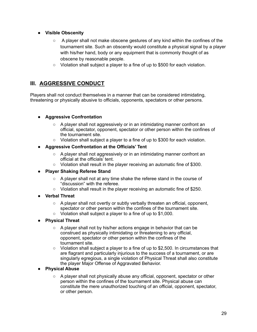- **● Visible Obscenity**
	- **○** A player shall not make obscene gestures of any kind within the confines of the tournament site. Such an obscenity would constitute a physical signal by a player with his/her hand, body or any equipment that is commonly thought of as obscene by reasonable people.
	- **○** Violation shall subject a player to a fine of up to \$500 for each violation.

## **III. AGGRESSIVE CONDUCT**

Players shall not conduct themselves in a manner that can be considered intimidating, threatening or physically abusive to officials, opponents, spectators or other persons.

## **● Aggressive Confrontation**

- A player shall not aggressively or in an intimidating manner confront an official, spectator, opponent, spectator or other person within the confines of the tournament site.
- Violation shall subject a player to a fine of up to \$300 for each violation.
- **● Aggressive Confrontation at the Officials' Tent**
	- A player shall not aggressively or in an intimidating manner confront an official at the officials' tent.
	- Violation shall result in the player receiving an automatic fine of \$300.
- **● Player Shaking Referee Stand**
	- A player shall not at any time shake the referee stand in the course of "discussion" with the referee.
	- Violation shall result in the player receiving an automatic fine of \$250.
- **● Verbal Threat**
	- $\circ$  A player shall not overtly or subtly verbally threaten an official, opponent, spectator or other person within the confines of the tournament site.
	- Violation shall subject a player to a fine of up to \$1,000.
- **● Physical Threat**
	- A player shall not by his/her actions engage in behavior that can be construed as physically intimidating or threatening to any official, opponent, spectator or other person within the confines of the tournament site.
	- $\circ$  Violation shall subject a player to a fine of up to \$2,500. In circumstances that are flagrant and particularly injurious to the success of a tournament, or are singularly egregious, a single violation of Physical Threat shall also constitute the player Major Offense of Aggravated Behavior.
- **● Physical Abuse**
	- A player shall not physically abuse any official, opponent, spectator or other person within the confines of the tournament site. Physical abuse can constitute the mere unauthorized touching of an official, opponent, spectator, or other person.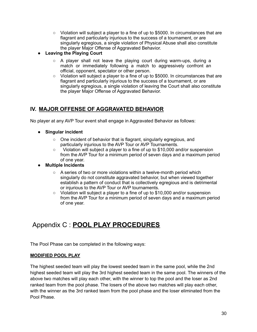- Violation will subject a player to a fine of up to \$5000. In circumstances that are flagrant and particularly injurious to the success of a tournament, or are singularly egregious, a single violation of Physical Abuse shall also constitute the player Major Offense of Aggravated Behavior.
- **● Leaving the Playing Court**
	- $\circ$  A player shall not leave the playing court during warm-ups, during a match or immediately following a match to aggressively confront an official, opponent, spectator or other person.
	- Violation will subject a player to a fine of up to \$5000. In circumstances that are flagrant and particularly injurious to the success of a tournament, or are singularly egregious, a single violation of leaving the Court shall also constitute the player Major Offense of Aggravated Behavior.

## **IV. MAJOR OFFENSE OF AGGRAVATED BEHAVIOR**

No player at any AVP Tour event shall engage in Aggravated Behavior as follows:

- **● Singular incident**
	- One incident of behavior that is flagrant, singularly egregious, and particularly injurious to the AVP Tour or AVP Tournaments.
	- Violation will subject a player to a fine of up to \$10,000 and/or suspension from the AVP Tour for a minimum period of seven days and a maximum period of one year.
- **● Multiple Incidents**
	- A series of two or more violations within a twelve-month period which singularly do not constitute aggravated behavior, but when viewed together establish a pattern of conduct that is collectively egregious and is detrimental or injurious to the AVP Tour or AVP tournaments.
	- Violation will subject a player to a fine of up to \$10,000 and/or suspension from the AVP Tour for a minimum period of seven days and a maximum period of one year.

## Appendix C : **POOL PLAY PROCEDURES**

The Pool Phase can be completed in the following ways:

#### **MODIFIED POOL PLAY**

The highest seeded team will play the lowest seeded team in the same pool, while the 2nd highest seeded team will play the 3rd highest seeded team in the same pool. The winners of the above two matches will play each other, with the winner to top the pool and the loser as 2nd ranked team from the pool phase. The losers of the above two matches will play each other, with the winner as the 3rd ranked team from the pool phase and the loser eliminated from the Pool Phase.